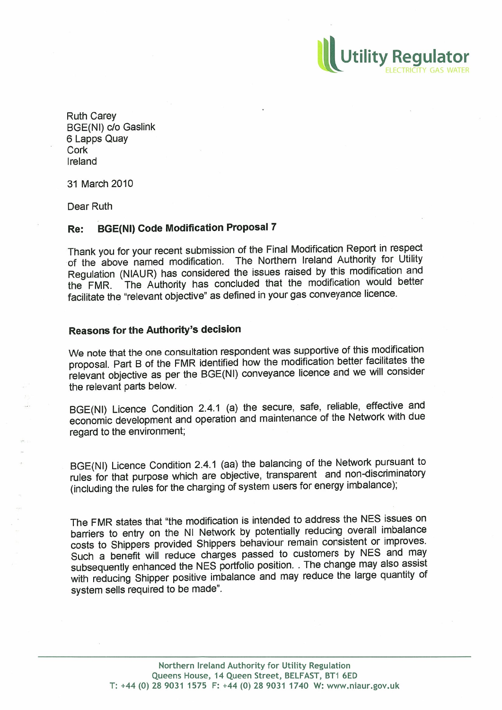Ruth Carey BGE(NI) c/o Gaslink 6 Lapps Quay Cork Ireland

31 March 2010

Dear Ruth

## Re: BGE(Nl) Code Modification Proposal 7

Thank you for your recent submission of the Final Modification Report in respect of the above named modification. The Northern Ireland Authority for Utility Regulation (NIAUR) has considered the issues raised by this modification and<br>the FMR. The Authority has concluded that the modification would better The Authority has concluded that the modification would better facilitate the "relevant objective" as defined in your gas conveyance licence.

**Utility Regu** 

## Reasons for the Authority's decision

We note that the one consultation respondent was supportive of this modification proposal. Part B of the FMR identified how the modification better facilitates the relevant objective as per the BGE(NI) conveyance licence and we will consider the relevant parts below.

BGE(NI) Licence Condition 2.4.1 (a) the secure, safe, reliable, effective and economic development and operation and maintenance of the Network with due regard to the environment;

BGE(NI) Licence Condition 2.4.1 (aa) the balancing of the Network pursuant to (including the rules for the charging of system users for energy imbalance);

The FMR states that "the modification is intended to address the NES issues on barriers to entry on the NI Network by potentially reducing overall imbalance costs to Shippers provided Shippers behaviour remain consistent or improves.<br>Such a benefit will reduce charges passed to customers by NES and may subsequently enhanced the NES portfolio position. . The change may also assist with reducing Shipper positive imbalance and may reduce the large quantity of system sells required to be made".